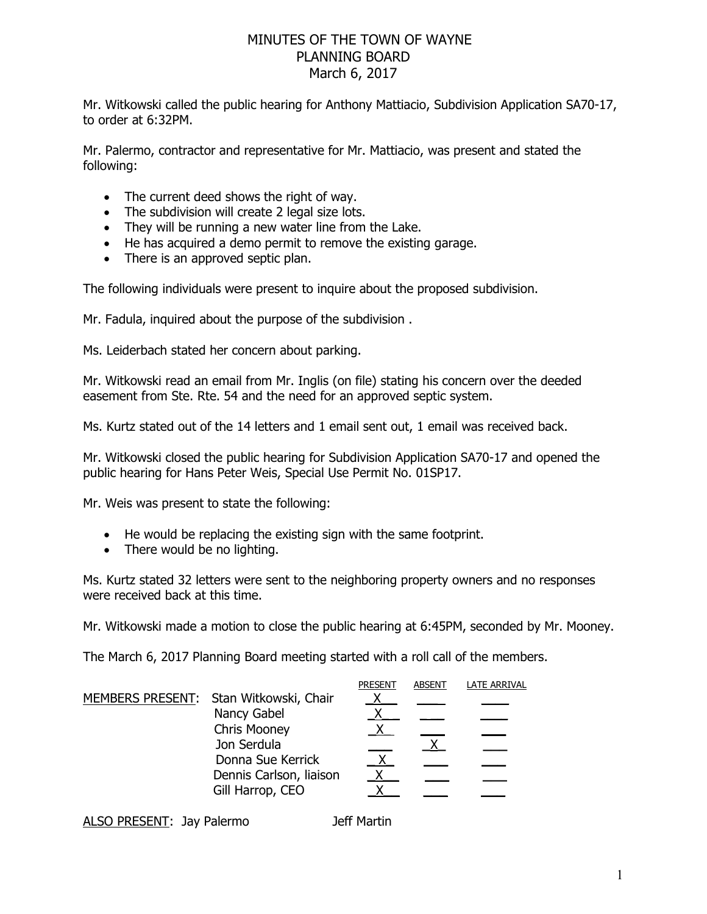# MINUTES OF THE TOWN OF WAYNE PLANNING BOARD March 6, 2017

Mr. Witkowski called the public hearing for Anthony Mattiacio, Subdivision Application SA70-17, to order at 6:32PM.

Mr. Palermo, contractor and representative for Mr. Mattiacio, was present and stated the following:

- The current deed shows the right of way.
- The subdivision will create 2 legal size lots.
- They will be running a new water line from the Lake.
- He has acquired a demo permit to remove the existing garage.
- There is an approved septic plan.

The following individuals were present to inquire about the proposed subdivision.

Mr. Fadula, inquired about the purpose of the subdivision .

Ms. Leiderbach stated her concern about parking.

Mr. Witkowski read an email from Mr. Inglis (on file) stating his concern over the deeded easement from Ste. Rte. 54 and the need for an approved septic system.

Ms. Kurtz stated out of the 14 letters and 1 email sent out, 1 email was received back.

Mr. Witkowski closed the public hearing for Subdivision Application SA70-17 and opened the public hearing for Hans Peter Weis, Special Use Permit No. 01SP17.

Mr. Weis was present to state the following:

- He would be replacing the existing sign with the same footprint.
- There would be no lighting.

Ms. Kurtz stated 32 letters were sent to the neighboring property owners and no responses were received back at this time.

Mr. Witkowski made a motion to close the public hearing at 6:45PM, seconded by Mr. Mooney.

The March 6, 2017 Planning Board meeting started with a roll call of the members.

|                                                       | <b>PRESENT</b> | ABSENT | LATE ARRIVAL |
|-------------------------------------------------------|----------------|--------|--------------|
| MEMBERS PRESENT: Stan Witkowski, Chair<br>Nancy Gabel |                |        |              |
| <b>Chris Mooney</b><br>Jon Serdula                    |                |        |              |
| Donna Sue Kerrick<br>Dennis Carlson, liaison          |                |        |              |
| Gill Harrop, CEO                                      |                |        |              |

ALSO PRESENT: Jay Palermo Jeff Martin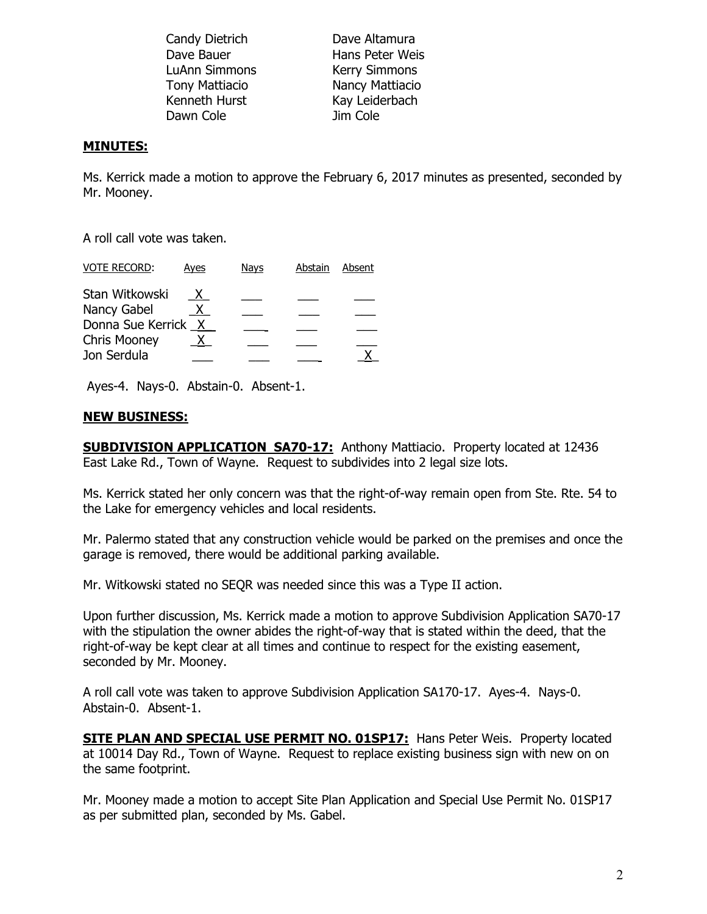Candy Dietrich Dave Altamura Dave Bauer **Hans Peter Weis**  LuAnn Simmons Kerry Simmons Tony Mattiacio Nancy Mattiacio Kenneth Hurst Kay Leiderbach Dawn Cole **Jim Cole** 

#### **MINUTES:**

Ms. Kerrick made a motion to approve the February 6, 2017 minutes as presented, seconded by Mr. Mooney.

A roll call vote was taken.

| <b>VOTE RECORD:</b> | Ayes | <b>Nays</b> | Abstain | Absent |
|---------------------|------|-------------|---------|--------|
| Stan Witkowski      |      |             |         |        |
| Nancy Gabel         |      |             |         |        |
| Donna Sue Kerrick X |      |             |         |        |
| <b>Chris Mooney</b> |      |             |         |        |
| Jon Serdula         |      |             |         |        |

Ayes-4. Nays-0. Abstain-0. Absent-1.

#### **NEW BUSINESS:**

**SUBDIVISION APPLICATION SA70-17:** Anthony Mattiacio. Property located at 12436 East Lake Rd., Town of Wayne. Request to subdivides into 2 legal size lots.

Ms. Kerrick stated her only concern was that the right-of-way remain open from Ste. Rte. 54 to the Lake for emergency vehicles and local residents.

Mr. Palermo stated that any construction vehicle would be parked on the premises and once the garage is removed, there would be additional parking available.

Mr. Witkowski stated no SEQR was needed since this was a Type II action.

Upon further discussion, Ms. Kerrick made a motion to approve Subdivision Application SA70-17 with the stipulation the owner abides the right-of-way that is stated within the deed, that the right-of-way be kept clear at all times and continue to respect for the existing easement, seconded by Mr. Mooney.

A roll call vote was taken to approve Subdivision Application SA170-17. Ayes-4. Nays-0. Abstain-0. Absent-1.

**SITE PLAN AND SPECIAL USE PERMIT NO. 01SP17:** Hans Peter Weis. Property located at 10014 Day Rd., Town of Wayne. Request to replace existing business sign with new on on the same footprint.

Mr. Mooney made a motion to accept Site Plan Application and Special Use Permit No. 01SP17 as per submitted plan, seconded by Ms. Gabel.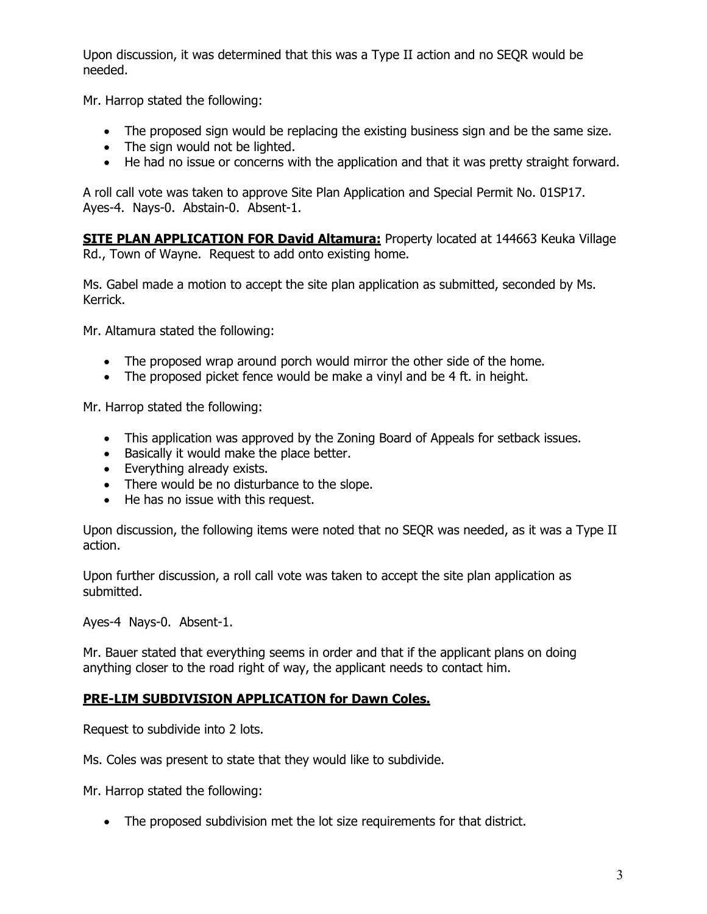Upon discussion, it was determined that this was a Type II action and no SEQR would be needed.

Mr. Harrop stated the following:

- The proposed sign would be replacing the existing business sign and be the same size.
- The sign would not be lighted.
- He had no issue or concerns with the application and that it was pretty straight forward.

A roll call vote was taken to approve Site Plan Application and Special Permit No. 01SP17. Ayes-4. Nays-0. Abstain-0. Absent-1.

**SITE PLAN APPLICATION FOR David Altamura:** Property located at 144663 Keuka Village Rd., Town of Wayne. Request to add onto existing home.

Ms. Gabel made a motion to accept the site plan application as submitted, seconded by Ms. Kerrick.

Mr. Altamura stated the following:

- The proposed wrap around porch would mirror the other side of the home.
- The proposed picket fence would be make a vinyl and be 4 ft. in height.

Mr. Harrop stated the following:

- This application was approved by the Zoning Board of Appeals for setback issues.
- Basically it would make the place better.
- Everything already exists.
- There would be no disturbance to the slope.
- He has no issue with this request.

Upon discussion, the following items were noted that no SEQR was needed, as it was a Type II action.

Upon further discussion, a roll call vote was taken to accept the site plan application as submitted.

Ayes-4 Nays-0. Absent-1.

Mr. Bauer stated that everything seems in order and that if the applicant plans on doing anything closer to the road right of way, the applicant needs to contact him.

# **PRE-LIM SUBDIVISION APPLICATION for Dawn Coles.**

Request to subdivide into 2 lots.

Ms. Coles was present to state that they would like to subdivide.

Mr. Harrop stated the following:

• The proposed subdivision met the lot size requirements for that district.